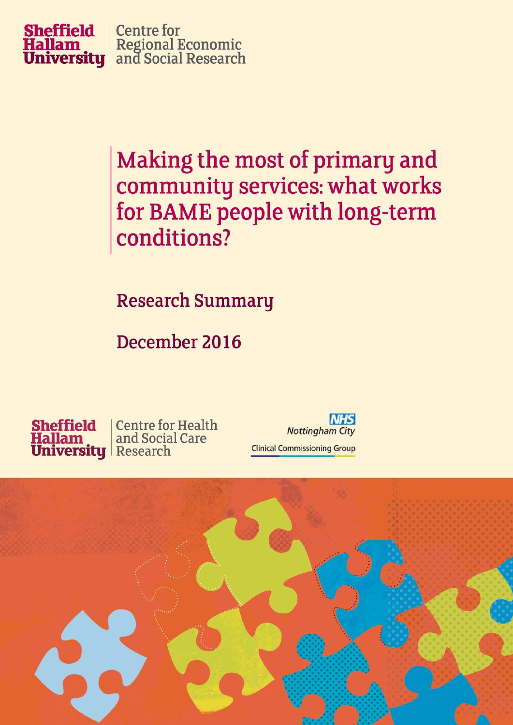

Making the most of primary and community services: what works for BAME people with long-term conditions?

**Research Summary** 

December 2016



**NHS Nottingham City Clinical Commissioning Group** 

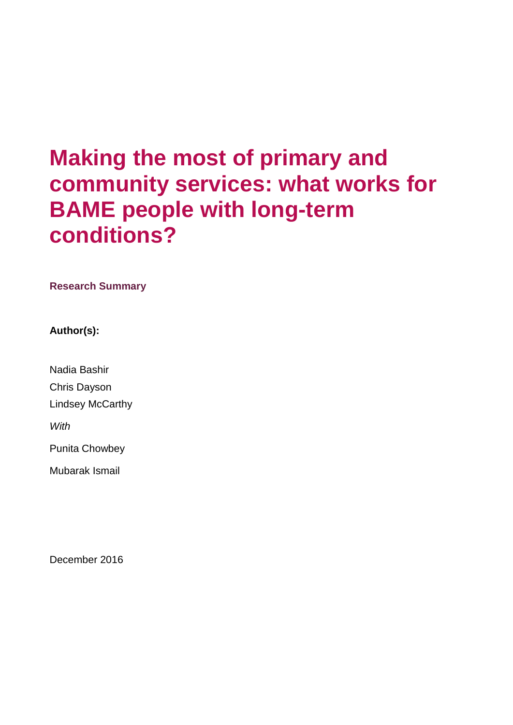# **Making the most of primary and community services: what works for BAME people with long-term conditions?**

**Research Summary**

**Author(s):**

Nadia Bashir Chris Dayson Lindsey McCarthy *With* Punita Chowbey Mubarak Ismail

December 2016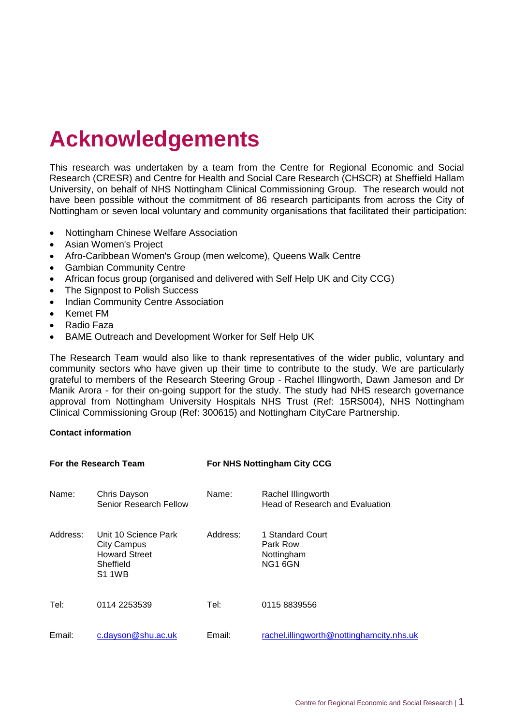# **Acknowledgements**

This research was undertaken by a team from the Centre for Regional Economic and Social Research (CRESR) and Centre for Health and Social Care Research (CHSCR) at Sheffield Hallam University, on behalf of NHS Nottingham Clinical Commissioning Group. The research would not have been possible without the commitment of 86 research participants from across the City of Nottingham or seven local voluntary and community organisations that facilitated their participation:

- Nottingham Chinese Welfare Association
- Asian Women's Project
- Afro-Caribbean Women's Group (men welcome), Queens Walk Centre
- Gambian Community Centre
- African focus group (organised and delivered with Self Help UK and City CCG)
- The Signpost to Polish Success
- Indian Community Centre Association
- Kemet FM
- Radio Faza
- BAME Outreach and Development Worker for Self Help UK

The Research Team would also like to thank representatives of the wider public, voluntary and community sectors who have given up their time to contribute to the study. We are particularly grateful to members of the Research Steering Group - Rachel Illingworth, Dawn Jameson and Dr Manik Arora - for their on-going support for the study. The study had NHS research governance approval from Nottingham University Hospitals NHS Trust (Ref: 15RS004), NHS Nottingham Clinical Commissioning Group (Ref: 300615) and Nottingham CityCare Partnership.

#### **Contact information**

| For the Research Team |                                                                                                  | For NHS Nottingham City CCG |                                                       |
|-----------------------|--------------------------------------------------------------------------------------------------|-----------------------------|-------------------------------------------------------|
| Name:                 | Chris Dayson<br>Senior Research Fellow                                                           | Name:                       | Rachel Illingworth<br>Head of Research and Evaluation |
| Address:              | Unit 10 Science Park<br><b>City Campus</b><br><b>Howard Street</b><br>Sheffield<br><b>S1 1WB</b> | Address:                    | 1 Standard Court<br>Park Row<br>Nottingham<br>NG1 6GN |
| Tel:                  | 0114 2253539                                                                                     | Tel:                        | 0115 8839556                                          |
| Email:                | c.dayson@shu.ac.uk                                                                               | Email:                      | rachel.illingworth@nottinghamcity.nhs.uk              |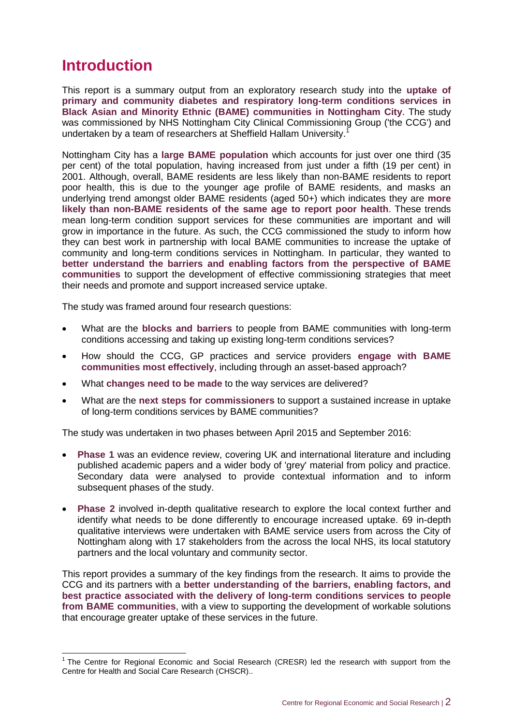## **Introduction**

-

This report is a summary output from an exploratory research study into the **uptake of primary and community diabetes and respiratory long-term conditions services in Black Asian and Minority Ethnic (BAME) communities in Nottingham City**. The study was commissioned by NHS Nottingham City Clinical Commissioning Group ('the CCG') and undertaken by a team of researchers at Sheffield Hallam University.<sup>1</sup>

Nottingham City has a **large BAME population** which accounts for just over one third (35 per cent) of the total population, having increased from just under a fifth (19 per cent) in 2001. Although, overall, BAME residents are less likely than non-BAME residents to report poor health, this is due to the younger age profile of BAME residents, and masks an underlying trend amongst older BAME residents (aged 50+) which indicates they are **more likely than non-BAME residents of the same age to report poor health**. These trends mean long-term condition support services for these communities are important and will grow in importance in the future. As such, the CCG commissioned the study to inform how they can best work in partnership with local BAME communities to increase the uptake of community and long-term conditions services in Nottingham. In particular, they wanted to **better understand the barriers and enabling factors from the perspective of BAME communities** to support the development of effective commissioning strategies that meet their needs and promote and support increased service uptake.

The study was framed around four research questions:

- What are the **blocks and barriers** to people from BAME communities with long-term conditions accessing and taking up existing long-term conditions services?
- How should the CCG, GP practices and service providers **engage with BAME communities most effectively**, including through an asset-based approach?
- What **changes need to be made** to the way services are delivered?
- What are the **next steps for commissioners** to support a sustained increase in uptake of long-term conditions services by BAME communities?

The study was undertaken in two phases between April 2015 and September 2016:

- **Phase 1** was an evidence review, covering UK and international literature and including published academic papers and a wider body of 'grey' material from policy and practice. Secondary data were analysed to provide contextual information and to inform subsequent phases of the study.
- **Phase 2** involved in-depth qualitative research to explore the local context further and identify what needs to be done differently to encourage increased uptake. 69 in-depth qualitative interviews were undertaken with BAME service users from across the City of Nottingham along with 17 stakeholders from the across the local NHS, its local statutory partners and the local voluntary and community sector.

This report provides a summary of the key findings from the research. It aims to provide the CCG and its partners with a **better understanding of the barriers, enabling factors, and best practice associated with the delivery of long-term conditions services to people from BAME communities**, with a view to supporting the development of workable solutions that encourage greater uptake of these services in the future.

 $1$  The Centre for Regional Economic and Social Research (CRESR) led the research with support from the Centre for Health and Social Care Research (CHSCR)..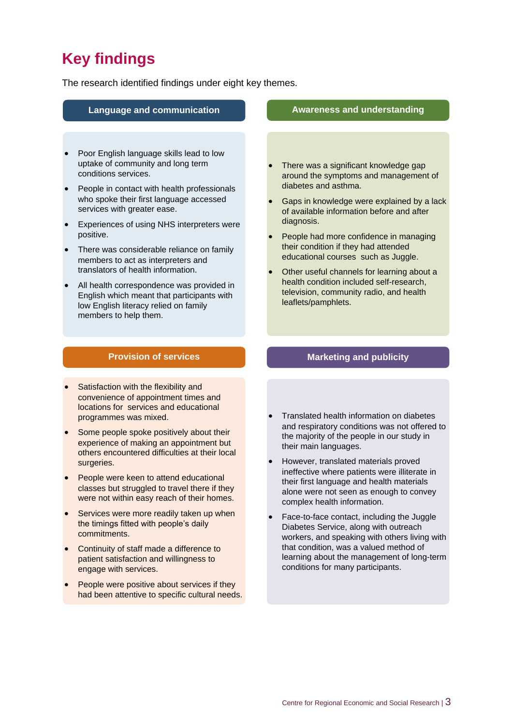## **Key findings**

The research identified findings under eight key themes.

#### **Language and communication Awareness and understanding**

- Poor English language skills lead to low uptake of community and long term conditions services.
- People in contact with health professionals who spoke their first language accessed services with greater ease.
- Experiences of using NHS interpreters were positive.
- There was considerable reliance on family members to act as interpreters and translators of health information.
- All health correspondence was provided in English which meant that participants with low English literacy relied on family members to help them.

#### **Provision of services Marketing and publicity**

- Satisfaction with the flexibility and convenience of appointment times and locations for services and educational programmes was mixed.
- Some people spoke positively about their experience of making an appointment but others encountered difficulties at their local surgeries.
- People were keen to attend educational classes but struggled to travel there if they were not within easy reach of their homes.
- Services were more readily taken up when the timings fitted with people's daily commitments.
- Continuity of staff made a difference to patient satisfaction and willingness to engage with services.
- People were positive about services if they had been attentive to specific cultural needs.

- There was a significant knowledge gap around the symptoms and management of diabetes and asthma.
- Gaps in knowledge were explained by a lack of available information before and after diagnosis.
- People had more confidence in managing their condition if they had attended educational courses such as Juggle.
- Other useful channels for learning about a health condition included self-research, television, community radio, and health leaflets/pamphlets.

- Translated health information on diabetes and respiratory conditions was not offered to the majority of the people in our study in their main languages.
- However, translated materials proved ineffective where patients were illiterate in their first language and health materials alone were not seen as enough to convey complex health information.
- Face-to-face contact, including the Juggle Diabetes Service, along with outreach workers, and speaking with others living with that condition, was a valued method of learning about the management of long-term conditions for many participants.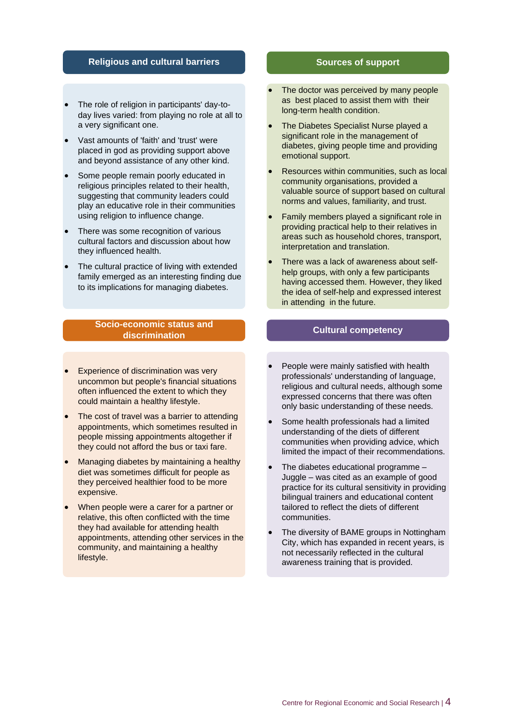#### **Religious and cultural barriers Sources of support**

- The role of religion in participants' day-to day lives varied: from playing no role at all to a very significant one.
- Vast amounts of 'faith' and 'trust' were placed in god as providing support above and beyond assistance of any other kind.
- Some people remain poorly educated in religious principles related to their health, suggesting that community leaders could play an educative role in their communities using religion to influence change.
- There was some recognition of various cultural factors and discussion about how they influenced health.
- The cultural practice of living with extended family emerged as an interesting finding due to its implications for managing diabetes.

#### **Socio-economic status and discrimination Cultural competency**

- Experience of discrimination was very uncommon but people's financial situations often influenced the extent to which they could maintain a healthy lifestyle.
- The cost of travel was a barrier to attending appointments, which sometimes resulted in people missing appointments altogether if they could not afford the bus or taxi fare.
- Managing diabetes by maintaining a healthy diet was sometimes difficult for people as they perceived healthier food to be more expensive.
- When people were a carer for a partner or relative, this often conflicted with the time they had available for attending health appointments, attending other services in the community, and maintaining a healthy lifestyle.

- The doctor was perceived by many people as best placed to assist them with their long-term health condition.
- The Diabetes Specialist Nurse played a significant role in the management of diabetes, giving people time and providing emotional support.
- Resources within communities, such as local community organisations, provided a valuable source of support based on cultural norms and values, familiarity, and trust.
- Family members played a significant role in providing practical help to their relatives in areas such as household chores, transport, interpretation and translation.
- There was a lack of awareness about self help groups, with only a few participants having accessed them. However, they liked the idea of self-help and expressed interest in attending in the future.

- People were mainly satisfied with health professionals' understanding of language, religious and cultural needs, although some expressed concerns that there was often only basic understanding of these needs.
- Some health professionals had a limited understanding of the diets of different communities when providing advice, which limited the impact of their recommendations.
- The diabetes educational programme Juggle – was cited as an example of good practice for its cultural sensitivity in providing bilingual trainers and educational content tailored to reflect the diets of different communities.
- The diversity of BAME groups in Nottingham City, which has expanded in recent years, is not necessarily reflected in the cultural awareness training that is provided.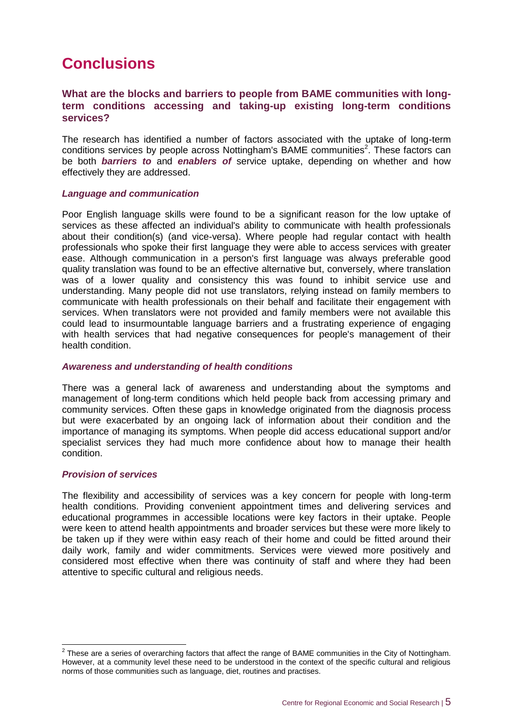## **Conclusions**

### **What are the blocks and barriers to people from BAME communities with longterm conditions accessing and taking-up existing long-term conditions services?**

The research has identified a number of factors associated with the uptake of long-term conditions services by people across Nottingham's BAME communities<sup>2</sup>. These factors can be both *barriers to* and *enablers of* service uptake, depending on whether and how effectively they are addressed.

#### *Language and communication*

Poor English language skills were found to be a significant reason for the low uptake of services as these affected an individual's ability to communicate with health professionals about their condition(s) (and vice-versa). Where people had regular contact with health professionals who spoke their first language they were able to access services with greater ease. Although communication in a person's first language was always preferable good quality translation was found to be an effective alternative but, conversely, where translation was of a lower quality and consistency this was found to inhibit service use and understanding. Many people did not use translators, relying instead on family members to communicate with health professionals on their behalf and facilitate their engagement with services. When translators were not provided and family members were not available this could lead to insurmountable language barriers and a frustrating experience of engaging with health services that had negative consequences for people's management of their health condition.

#### *Awareness and understanding of health conditions*

There was a general lack of awareness and understanding about the symptoms and management of long-term conditions which held people back from accessing primary and community services. Often these gaps in knowledge originated from the diagnosis process but were exacerbated by an ongoing lack of information about their condition and the importance of managing its symptoms. When people did access educational support and/or specialist services they had much more confidence about how to manage their health condition.

#### *Provision of services*

The flexibility and accessibility of services was a key concern for people with long-term health conditions. Providing convenient appointment times and delivering services and educational programmes in accessible locations were key factors in their uptake. People were keen to attend health appointments and broader services but these were more likely to be taken up if they were within easy reach of their home and could be fitted around their daily work, family and wider commitments. Services were viewed more positively and considered most effective when there was continuity of staff and where they had been attentive to specific cultural and religious needs.

**ENVIRT 2**<br><sup>2</sup> These are a series of overarching factors that affect the range of BAME communities in the City of Nottingham. However, at a community level these need to be understood in the context of the specific cultural and religious norms of those communities such as language, diet, routines and practises.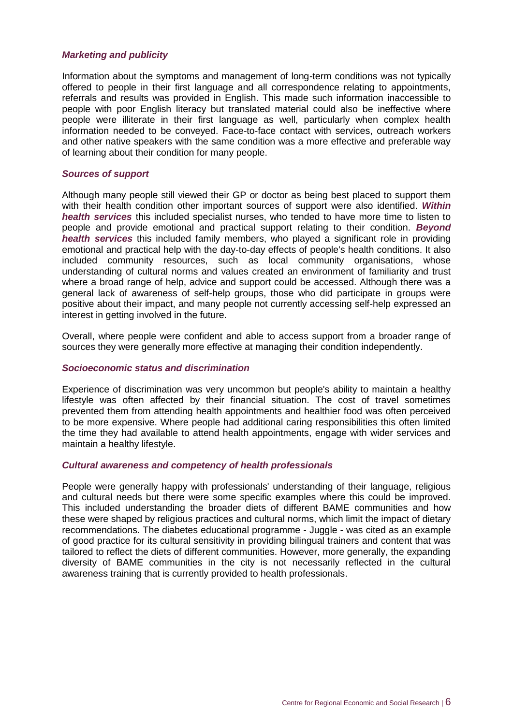#### *Marketing and publicity*

Information about the symptoms and management of long-term conditions was not typically offered to people in their first language and all correspondence relating to appointments, referrals and results was provided in English. This made such information inaccessible to people with poor English literacy but translated material could also be ineffective where people were illiterate in their first language as well, particularly when complex health information needed to be conveyed. Face-to-face contact with services, outreach workers and other native speakers with the same condition was a more effective and preferable way of learning about their condition for many people.

#### *Sources of support*

Although many people still viewed their GP or doctor as being best placed to support them with their health condition other important sources of support were also identified. *Within health services* this included specialist nurses, who tended to have more time to listen to people and provide emotional and practical support relating to their condition. *Beyond health services* this included family members, who played a significant role in providing emotional and practical help with the day-to-day effects of people's health conditions. It also included community resources, such as local community organisations, whose understanding of cultural norms and values created an environment of familiarity and trust where a broad range of help, advice and support could be accessed. Although there was a general lack of awareness of self-help groups, those who did participate in groups were positive about their impact, and many people not currently accessing self-help expressed an interest in getting involved in the future.

Overall, where people were confident and able to access support from a broader range of sources they were generally more effective at managing their condition independently.

#### *Socioeconomic status and discrimination*

Experience of discrimination was very uncommon but people's ability to maintain a healthy lifestyle was often affected by their financial situation. The cost of travel sometimes prevented them from attending health appointments and healthier food was often perceived to be more expensive. Where people had additional caring responsibilities this often limited the time they had available to attend health appointments, engage with wider services and maintain a healthy lifestyle.

#### *Cultural awareness and competency of health professionals*

People were generally happy with professionals' understanding of their language, religious and cultural needs but there were some specific examples where this could be improved. This included understanding the broader diets of different BAME communities and how these were shaped by religious practices and cultural norms, which limit the impact of dietary recommendations. The diabetes educational programme - Juggle - was cited as an example of good practice for its cultural sensitivity in providing bilingual trainers and content that was tailored to reflect the diets of different communities. However, more generally, the expanding diversity of BAME communities in the city is not necessarily reflected in the cultural awareness training that is currently provided to health professionals.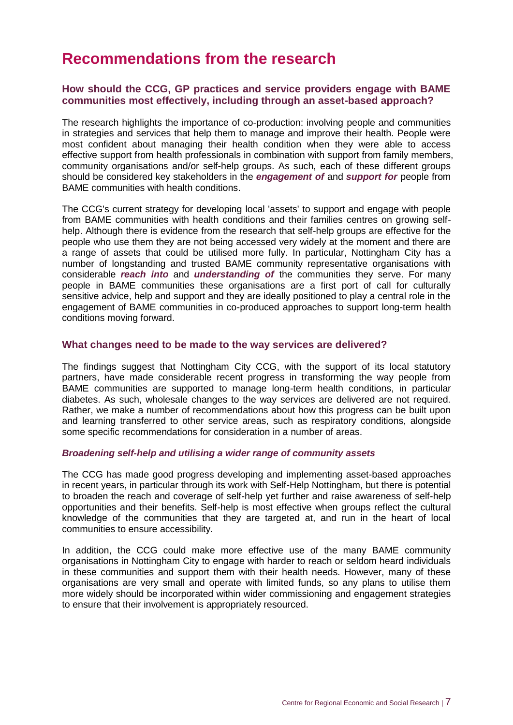## **Recommendations from the research**

### **How should the CCG, GP practices and service providers engage with BAME communities most effectively, including through an asset-based approach?**

The research highlights the importance of co-production: involving people and communities in strategies and services that help them to manage and improve their health. People were most confident about managing their health condition when they were able to access effective support from health professionals in combination with support from family members, community organisations and/or self-help groups. As such, each of these different groups should be considered key stakeholders in the *engagement of* and *support for* people from BAME communities with health conditions.

The CCG's current strategy for developing local 'assets' to support and engage with people from BAME communities with health conditions and their families centres on growing selfhelp. Although there is evidence from the research that self-help groups are effective for the people who use them they are not being accessed very widely at the moment and there are a range of assets that could be utilised more fully. In particular, Nottingham City has a number of longstanding and trusted BAME community representative organisations with considerable *reach into* and *understanding of* the communities they serve. For many people in BAME communities these organisations are a first port of call for culturally sensitive advice, help and support and they are ideally positioned to play a central role in the engagement of BAME communities in co-produced approaches to support long-term health conditions moving forward.

#### **What changes need to be made to the way services are delivered?**

The findings suggest that Nottingham City CCG, with the support of its local statutory partners, have made considerable recent progress in transforming the way people from BAME communities are supported to manage long-term health conditions, in particular diabetes. As such, wholesale changes to the way services are delivered are not required. Rather, we make a number of recommendations about how this progress can be built upon and learning transferred to other service areas, such as respiratory conditions, alongside some specific recommendations for consideration in a number of areas.

#### *Broadening self-help and utilising a wider range of community assets*

The CCG has made good progress developing and implementing asset-based approaches in recent years, in particular through its work with Self-Help Nottingham, but there is potential to broaden the reach and coverage of self-help yet further and raise awareness of self-help opportunities and their benefits. Self-help is most effective when groups reflect the cultural knowledge of the communities that they are targeted at, and run in the heart of local communities to ensure accessibility.

In addition, the CCG could make more effective use of the many BAME community organisations in Nottingham City to engage with harder to reach or seldom heard individuals in these communities and support them with their health needs. However, many of these organisations are very small and operate with limited funds, so any plans to utilise them more widely should be incorporated within wider commissioning and engagement strategies to ensure that their involvement is appropriately resourced.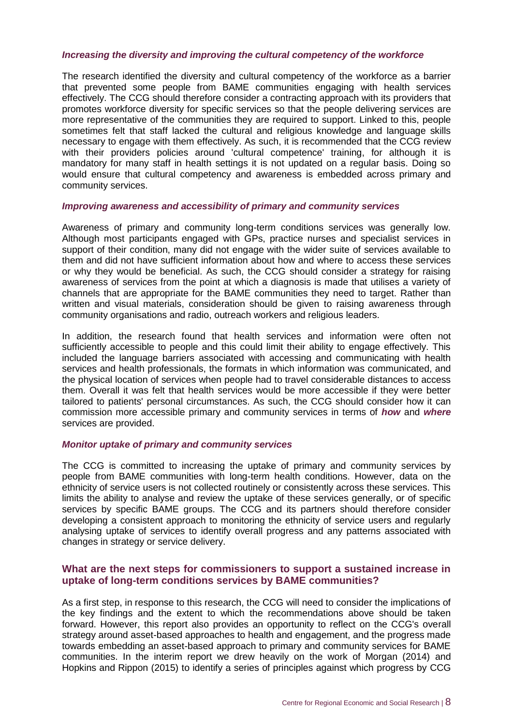#### *Increasing the diversity and improving the cultural competency of the workforce*

The research identified the diversity and cultural competency of the workforce as a barrier that prevented some people from BAME communities engaging with health services effectively. The CCG should therefore consider a contracting approach with its providers that promotes workforce diversity for specific services so that the people delivering services are more representative of the communities they are required to support. Linked to this, people sometimes felt that staff lacked the cultural and religious knowledge and language skills necessary to engage with them effectively. As such, it is recommended that the CCG review with their providers policies around 'cultural competence' training, for although it is mandatory for many staff in health settings it is not updated on a regular basis. Doing so would ensure that cultural competency and awareness is embedded across primary and community services.

#### *Improving awareness and accessibility of primary and community services*

Awareness of primary and community long-term conditions services was generally low. Although most participants engaged with GPs, practice nurses and specialist services in support of their condition, many did not engage with the wider suite of services available to them and did not have sufficient information about how and where to access these services or why they would be beneficial. As such, the CCG should consider a strategy for raising awareness of services from the point at which a diagnosis is made that utilises a variety of channels that are appropriate for the BAME communities they need to target. Rather than written and visual materials, consideration should be given to raising awareness through community organisations and radio, outreach workers and religious leaders.

In addition, the research found that health services and information were often not sufficiently accessible to people and this could limit their ability to engage effectively. This included the language barriers associated with accessing and communicating with health services and health professionals, the formats in which information was communicated, and the physical location of services when people had to travel considerable distances to access them. Overall it was felt that health services would be more accessible if they were better tailored to patients' personal circumstances. As such, the CCG should consider how it can commission more accessible primary and community services in terms of *how* and *where* services are provided.

#### *Monitor uptake of primary and community services*

The CCG is committed to increasing the uptake of primary and community services by people from BAME communities with long-term health conditions. However, data on the ethnicity of service users is not collected routinely or consistently across these services. This limits the ability to analyse and review the uptake of these services generally, or of specific services by specific BAME groups. The CCG and its partners should therefore consider developing a consistent approach to monitoring the ethnicity of service users and regularly analysing uptake of services to identify overall progress and any patterns associated with changes in strategy or service delivery.

### **What are the next steps for commissioners to support a sustained increase in uptake of long-term conditions services by BAME communities?**

As a first step, in response to this research, the CCG will need to consider the implications of the key findings and the extent to which the recommendations above should be taken forward. However, this report also provides an opportunity to reflect on the CCG's overall strategy around asset-based approaches to health and engagement, and the progress made towards embedding an asset-based approach to primary and community services for BAME communities. In the interim report we drew heavily on the work of Morgan (2014) and Hopkins and Rippon (2015) to identify a series of principles against which progress by CCG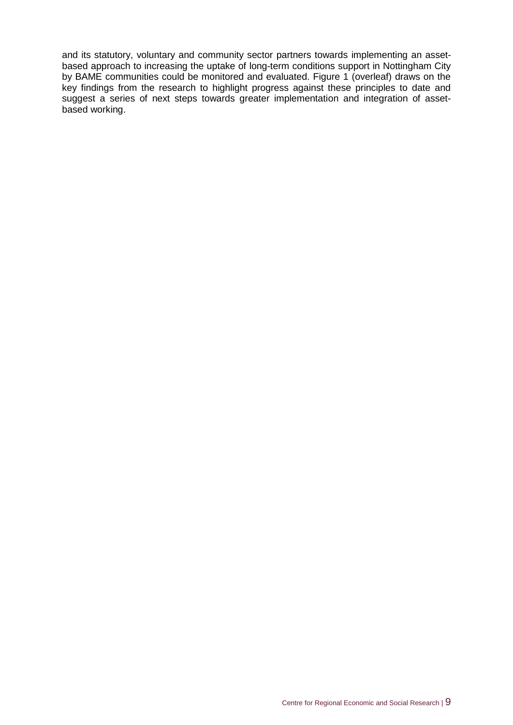and its statutory, voluntary and community sector partners towards implementing an assetbased approach to increasing the uptake of long-term conditions support in Nottingham City by BAME communities could be monitored and evaluated. Figure 1 (overleaf) draws on the key findings from the research to highlight progress against these principles to date and suggest a series of next steps towards greater implementation and integration of assetbased working.